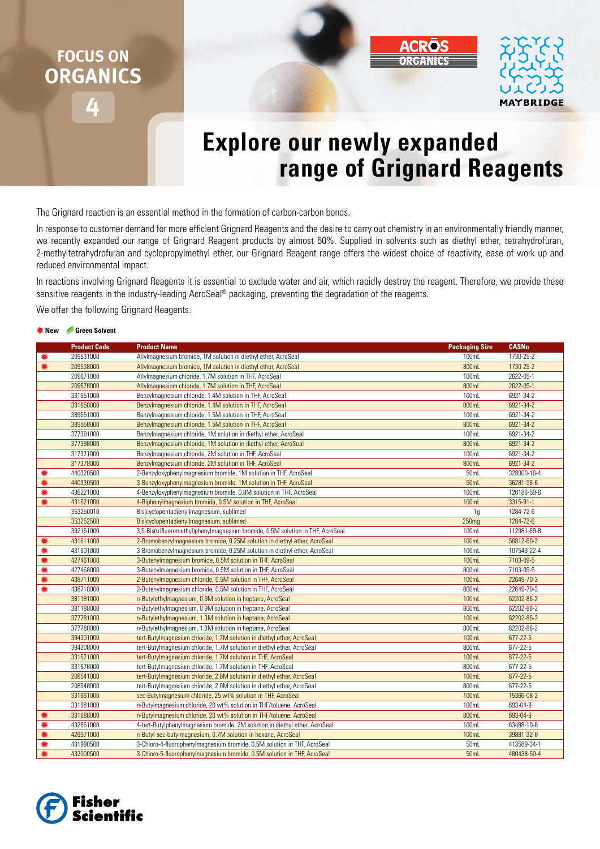# **FOCUS ON ORGANICS**



# **Explore our newly expanded range of Grignard Reagents**

The Grignard reaction is an essential method in the formation of carbon-carbon bonds.

In response to customer demand for more efficient Grignard Reagents and the desire to carry out chemistry in an environmentally friendly manner, we recently expanded our range of Grignard Reagent products by almost 50%. Supplied in solvents such as diethyl ether, tetrahydrofuran, 2-methyltetrahydrofuran and cyclopropylmethyl ether, our Grignard Reagent range offers the widest choice of reactivity, ease of work up and reduced environmental impact.

In reactions involving Grignard Reagents it is essential to exclude water and air, which rapidly destroy the reagent. Therefore, we provide these sensitive reagents in the industry-leading AcroSeal® packaging, preventing the degradation of the reagents.

We offer the following Grignard Reagents.

#### **New Green Solvent**

|   | <b>Product Code</b> | <b>Product Name</b>                                                             | <b>Packaging Size</b> | <b>CASNo</b>   |
|---|---------------------|---------------------------------------------------------------------------------|-----------------------|----------------|
|   | 209531000           | Allylmagnesium bromide, 1M solution in diethyl ether, AcroSeal                  | 100mL                 | 1730-25-2      |
| ☀ | 209538000           | Allylmagnesium bromide, 1M solution in diethyl ether, AcroSeal                  | 800mL                 | 1730-25-2      |
|   | 209671000           | Allylmagnesium chloride, 1.7M solution in THF, AcroSeal                         | 100mL                 | 2622-05-1      |
|   | 209678000           | Allylmagnesium chloride, 1.7M solution in THF, AcroSeal                         | 800mL                 | 2622-05-1      |
|   | 331651000           | Benzylmagnesium chloride, 1.4M solution in THF, AcroSeal                        | 100mL                 | 6921-34-2      |
|   | 331658000           | Benzylmagnesium chloride, 1.4M solution in THF, AcroSeal                        | 800mL                 | 6921-34-2      |
|   | 389551000           | Benzylmagnesium chloride, 1.5M solution in THF, AcroSeal                        | 100mL                 | 6921-34-2      |
|   | 389558000           | Benzylmagnesium chloride, 1.5M solution in THF, AcroSeal                        | 800mL                 | 6921-34-2      |
|   | 377391000           | Benzylmagnesium chloride, 1M solution in diethyl ether, AcroSeal                | 100mL                 | 6921-34-2      |
|   | 377398000           | Benzylmagnesium chloride, 1M solution in diethyl ether, AcroSeal                | 800mL                 | 6921-34-2      |
|   | 317371000           | Benzylmagnesium chloride, 2M solution in THF, AcroSeal                          | 100mL                 | 6921-34-2      |
|   | 317378000           | Benzylmagnesium chloride, 2M solution in THF, AcroSeal                          | 800mL                 | 6921-34-2      |
| 駦 | 440320500           | 2-Benzyloxyphenylmagnesium bromide, 1M solution in THF, AcroSeal                | 50mL                  | 328000-16-4    |
|   | 440330500           | 3-Benzyloxyphenylmagnesium bromide, 1M solution in THF, AcroSeal                | 50mL                  | 36281-96-6     |
|   | 436221000           | 4-Benzyloxyphenylmagnesium bromide, 0.8M solution in THF, AcroSeal              | 100mL                 | 120186-59-6    |
| ☀ | 431621000           | 4-Biphenylmagnesium bromide, 0.5M solution in THF, AcroSeal                     | 100mL                 | 3315-91-1      |
|   | 353250010           | Bis(cyclopentadienyl)magnesium, sublimed                                        | 1 <sub>g</sub>        | 1284-72-6      |
|   | 353252500           | Bis(cyclopentadienyl)magnesium, sublimed                                        | 250mg                 | 1284-72-6      |
|   | 392151000           | 3,5-Bis(trifluoromethyl)phenylmagnesium bromide, 0.5M solution in THF, AcroSeal | 100mL                 | 112981-69-8    |
| ☀ | 431611000           | 2-Bromobenzylmagnesium bromide, 0.25M solution in diethyl ether, AcroSeal       | 100mL                 | 56812-60-3     |
| ☀ | 431601000           | 3-Bromobenzylmagnesium bromide, 0.25M solution in diethyl ether, AcroSeal       | 100mL                 | 107549-22-4    |
|   | 427461000           | 3-Butenylmagnesium bromide, 0.5M solution in THF, AcroSeal                      | 100mL                 | 7103-09-5      |
| ☀ | 427468000           | 3-Butenylmagnesium bromide, 0.5M solution in THF, AcroSeal                      | 800mL                 | 7103-09-5      |
|   | 438711000           | 2-Butenylmagnesium chloride, 0.5M solution in THF, AcroSeal                     | 100mL                 | 22649-70-3     |
|   | 438718000           | 2-Butenylmagnesium chloride, 0.5M solution in THF, AcroSeal                     | 800mL                 | 22649-70-3     |
|   | 381181000           | n-Butylethylmagnesium, 0.9M solution in heptane, AcroSeal                       | 100mL                 | 62202-86-2     |
|   | 381188000           | n-Butylethylmagnesium, 0.9M solution in heptane, AcroSeal                       | 800mL                 | 62202-86-2     |
|   | 377781000           | n-Butylethylmagnesium, 1.3M solution in heptane, AcroSeal                       | 100mL                 | 62202-86-2     |
|   | 377788000           | n-Butylethylmagnesium, 1.3M solution in heptane, AcroSeal                       | 800mL                 | 62202-86-2     |
|   | 394301000           | tert-Butylmagnesium chloride, 1.7M solution in diethyl ether, AcroSeal          | 100mL                 | $677 - 22 - 5$ |
|   | 394308000           | tert-Butylmagnesium chloride, 1.7M solution in diethyl ether, AcroSeal          | 800mL                 | 677-22-5       |
|   | 331671000           | tert-Butylmagnesium chloride, 1.7M solution in THF, AcroSeal                    | 100mL                 | $677 - 22 - 5$ |
|   | 331678000           | tert-Butylmagnesium chloride, 1.7M solution in THF, AcroSeal                    | 800mL                 | 677-22-5       |
|   | 208541000           | tert-Butylmagnesium chloride, 2.0M solution in diethyl ether, AcroSeal          | 100mL                 | $677 - 22 - 5$ |
|   | 208548000           | tert-Butylmagnesium chloride, 2.0M solution in diethyl ether, AcroSeal          | 800mL                 | 677-22-5       |
|   | 331661000           | sec-Butylmagnesium chloride, 25 wt% solution in THF, AcroSeal                   | 100mL                 | 15366-08-2     |
|   | 331681000           | n-Butylmagnesium chloride, 20 wt% solution in THF/toluene, AcroSeal             | 100mL                 | 693-04-9       |
|   | 331688000           | n-Butylmagnesium chloride, 20 wt% solution in THF/toluene, AcroSeal             | 800mL                 | 693-04-9       |
| ☀ | 432861000           | 4-tert-Butylphenylmagnesium bromide, 2M solution in diethyl ether, AcroSeal     | 100mL                 | 63488-10-8     |
|   | 426971000           | n-Butyl-sec-butylmagnesium, 0.7M solution in hexane, AcroSeal                   | 100mL                 | 39881-32-8     |
|   | 431990500           | 3-Chloro-4-fluorophenylmagnesium bromide, 0.5M solution in THF, AcroSeal        | 50mL                  | 413589-34-1    |
| 駦 | 432000500           | 3-Chloro-5-fluorophenylmagnesium bromide, 0.5M solution in THF, AcroSeal        | 50mL                  | 480438-50-4    |

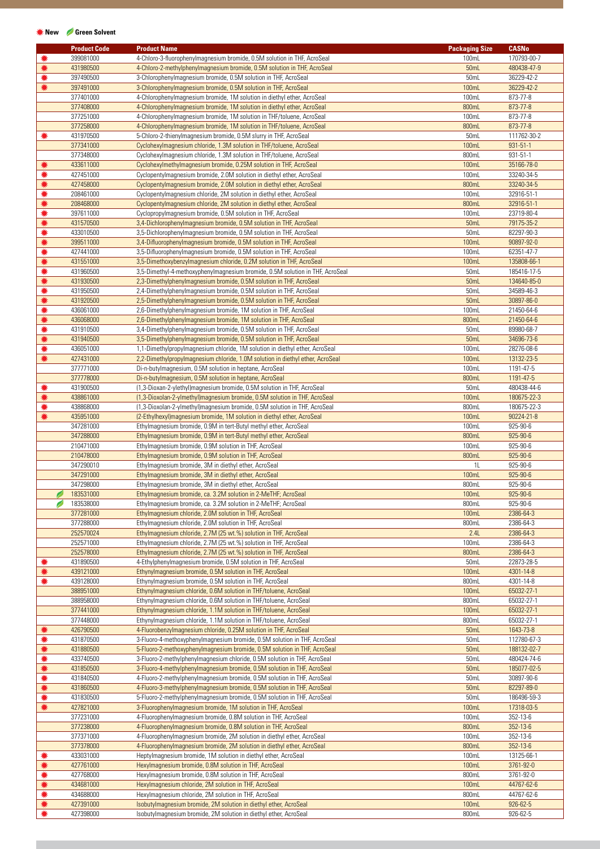## **New Green Solvent**

|        | <b>Product Code</b>    | <b>Product Name</b>                                                                                                                                     | <b>Packaging Size</b> | <b>CASNo</b>               |
|--------|------------------------|---------------------------------------------------------------------------------------------------------------------------------------------------------|-----------------------|----------------------------|
|        | 399081000              | 4-Chloro-3-fluorophenylmagnesium bromide, 0.5M solution in THF, AcroSeal                                                                                | 100mL                 | 170793-00-7                |
| ☀      | 431980500              | 4-Chloro-2-methylphenylmagnesium bromide, 0.5M solution in THF, AcroSeal                                                                                | 50mL                  | 480438-47-9                |
| ☀      | 397490500              | 3-Chlorophenylmagnesium bromide, 0.5M solution in THF, AcroSeal                                                                                         | 50mL                  | 36229-42-2                 |
| ☀      | 397491000              | 3-Chlorophenylmagnesium bromide, 0.5M solution in THF, AcroSeal                                                                                         | 100mL                 | 36229-42-2                 |
|        | 377401000              | 4-Chlorophenylmagnesium bromide, 1M solution in diethyl ether, AcroSeal                                                                                 | 100mL                 | 873-77-8                   |
|        | 377408000              | 4-Chlorophenylmagnesium bromide, 1M solution in diethyl ether, AcroSeal                                                                                 | 800mL                 | 873-77-8                   |
|        | 377251000              | 4-Chlorophenylmagnesium bromide, 1M solution in THF/toluene, AcroSeal                                                                                   | 100mL                 | 873-77-8                   |
|        | 377258000              | 4-Chlorophenylmagnesium bromide, 1M solution in THF/toluene, AcroSeal                                                                                   | 800mL                 | 873-77-8                   |
| ☀      | 431970500              | 5-Chloro-2-thienylmagnesium bromide, 0.5M slurry in THF, AcroSeal                                                                                       | 50mL                  | 111762-30-2                |
|        | 377341000<br>377348000 | Cyclohexylmagnesium chloride, 1.3M solution in THF/toluene, AcroSeal                                                                                    | 100mL<br>800mL        | $931 - 51 - 1$<br>931-51-1 |
| ☀      | 433611000              | Cyclohexylmagnesium chloride, 1.3M solution in THF/toluene, AcroSeal<br>Cyclohexylmethylmagnesium bromide, 0.25M solution in THF, AcroSeal              | 100mL                 | 35166-78-0                 |
| ☀      | 427451000              | Cyclopentylmagnesium bromide, 2.0M solution in diethyl ether, AcroSeal                                                                                  | 100mL                 | 33240-34-5                 |
| ☀      | 427458000              | Cyclopentylmagnesium bromide, 2.0M solution in diethyl ether, AcroSeal                                                                                  | 800mL                 | 33240-34-5                 |
| ☀      | 208461000              | Cyclopentylmagnesium chloride, 2M solution in diethyl ether, AcroSeal                                                                                   | 100mL                 | 32916-51-1                 |
| ☀      | 208468000              | Cyclopentylmagnesium chloride, 2M solution in diethyl ether, AcroSeal                                                                                   | 800mL                 | 32916-51-1                 |
| ☀      | 397611000              | Cyclopropylmagnesium bromide, 0.5M solution in THF, AcroSeal                                                                                            | 100mL                 | 23719-80-4                 |
| ☀      | 431570500              | 3,4-Dichlorophenylmagnesium bromide, 0.5M solution in THF, AcroSeal                                                                                     | 50mL                  | 79175-35-2                 |
| ☀      | 433010500              | 3,5-Dichlorophenylmagnesium bromide, 0.5M solution in THF, AcroSeal                                                                                     | 50mL                  | 82297-90-3                 |
| ☀      | 399511000              | 3,4-Difluorophenylmagnesium bromide, 0.5M solution in THF, AcroSeal                                                                                     | 100mL                 | 90897-92-0                 |
| ☀      | 427441000              | 3,5-Difluorophenylmagnesium bromide, 0.5M solution in THF, AcroSeal                                                                                     | 100mL                 | 62351-47-7                 |
| ☀      | 431551000              | 3,5-Dimethoxybenzylmagnesium chloride, 0.2M solution in THF, AcroSeal                                                                                   | 100mL                 | 135808-66-1                |
| ☀      | 431960500              | 3,5-Dimethyl-4-methoxyphenylmagnesium bromide, 0.5M solution in THF, AcroSeal                                                                           | 50mL                  | 185416-17-5                |
| ☀      | 431930500              | 2,3-Dimethylphenylmagnesium bromide, 0.5M solution in THF, AcroSeal                                                                                     | 50mL                  | 134640-85-0                |
| ☀      | 431950500              | 2,4-Dimethylphenylmagnesium bromide, 0.5M solution in THF, AcroSeal                                                                                     | 50mL                  | 34589-46-3                 |
| ☀      | 431920500              | 2,5-Dimethylphenylmagnesium bromide, 0.5M solution in THF, AcroSeal                                                                                     | 50mL                  | 30897-86-0                 |
| ☀      | 436061000              | 2,6-Dimethylphenylmagnesium bromide, 1M solution in THF, AcroSeal                                                                                       | 100mL                 | 21450-64-6                 |
| ☀      | 436068000              | 2,6-Dimethylphenylmagnesium bromide, 1M solution in THF, AcroSeal                                                                                       | 800mL                 | 21450-64-6                 |
| ☀      | 431910500              | 3,4-Dimethylphenylmagnesium bromide, 0.5M solution in THF, AcroSeal                                                                                     | 50mL                  | 89980-68-7                 |
| ☀      | 431940500              | 3,5-Dimethylphenylmagnesium bromide, 0.5M solution in THF, AcroSeal                                                                                     | 50mL                  | 34696-73-6                 |
| ☀      | 436051000              | 1,1-Dimethylpropylmagnesium chloride, 1M solution in diethyl ether, AcroSeal                                                                            | 100mL                 | 28276-08-6                 |
| ☀      | 427431000              | 2,2-Dimethylpropylmagnesium chloride, 1.0M solution in diethyl ether, AcroSeal                                                                          | 100mL                 | 13132-23-5                 |
|        | 377771000              | Di-n-butylmagnesium, 0.5M solution in heptane, AcroSeal                                                                                                 | 100mL                 | 1191-47-5                  |
|        | 377778000              | Di-n-butylmagnesium, 0.5M solution in heptane, AcroSeal                                                                                                 | 800mL                 | 1191-47-5                  |
| ☀<br>☀ | 431900500              | (1,3-Dioxan-2-ylethyl) magnesium bromide, 0.5M solution in THF, AcroSeal                                                                                | 50mL                  | 480438-44-6                |
|        | 438861000<br>438868000 | (1,3-Dioxolan-2-ylmethyl) magnesium bromide, 0.5M solution in THF, AcroSeal                                                                             | 100mL<br>800mL        | 180675-22-3                |
| ☀<br>☀ | 435951000              | (1,3-Dioxolan-2-ylmethyl) magnesium bromide, 0.5M solution in THF, AcroSeal<br>(2-Ethylhexyl) magnesium bromide, 1M solution in diethyl ether, AcroSeal | 100mL                 | 180675-22-3<br>90224-21-8  |
|        | 347281000              | Ethylmagnesium bromide, 0.9M in tert-Butyl methyl ether, AcroSeal                                                                                       | 100mL                 | 925-90-6                   |
|        | 347288000              | Ethylmagnesium bromide, 0.9M in tert-Butyl methyl ether, AcroSeal                                                                                       | 800mL                 | 925-90-6                   |
|        | 210471000              | Ethylmagnesium bromide, 0.9M solution in THF, AcroSeal                                                                                                  | 100mL                 | 925-90-6                   |
|        | 210478000              | Ethylmagnesium bromide, 0.9M solution in THF, AcroSeal                                                                                                  | 800mL                 | 925-90-6                   |
|        | 347290010              | Ethylmagnesium bromide, 3M in diethyl ether, AcroSeal                                                                                                   | 1L                    | 925-90-6                   |
|        | 347291000              | Ethylmagnesium bromide, 3M in diethyl ether, AcroSeal                                                                                                   | <b>100mL</b>          | 925-90-6                   |
|        | 347298000              | Ethylmagnesium bromide, 3M in diethyl ether, AcroSeal                                                                                                   | 800mL                 | 925-90-6                   |
| Ø      | 183531000              | Ethylmagnesium bromide, ca. 3.2M solution in 2-MeTHF; AcroSeal                                                                                          | 100mL                 | 925-90-6                   |
| Ø      | 183538000              | Ethylmagnesium bromide, ca. 3.2M solution in 2-MeTHF; AcroSeal                                                                                          | 800mL                 | 925-90-6                   |
|        | 377281000              | Ethylmagnesium chloride, 2.0M solution in THF, AcroSeal                                                                                                 | 100mL                 | 2386-64-3                  |
|        | 377288000              | Ethylmagnesium chloride, 2.0M solution in THF, AcroSeal                                                                                                 | 800mL                 | 2386-64-3                  |
|        | 252570024              | Ethylmagnesium chloride, 2.7M (25 wt.%) solution in THF, AcroSeal                                                                                       | 2.4L                  | 2386-64-3                  |
|        | 252571000              | Ethylmagnesium chloride, 2.7M (25 wt.%) solution in THF, AcroSeal                                                                                       | 100mL                 | 2386-64-3                  |
|        | 252578000              | Ethylmagnesium chloride, 2.7M (25 wt.%) solution in THF, AcroSeal                                                                                       | 800mL                 | 2386-64-3                  |
|        | 431890500              | 4-Ethylphenylmagnesium bromide, 0.5M solution in THF, AcroSeal                                                                                          | 50mL                  | 22873-28-5                 |
|        | 439121000              | Ethynylmagnesium bromide, 0.5M solution in THF, AcroSeal                                                                                                | 100mL                 | 4301-14-8                  |
|        | 439128000              | Ethynylmagnesium bromide, 0.5M solution in THF, AcroSeal                                                                                                | 800mL                 | 4301-14-8                  |
|        | 388951000              | Ethynylmagnesium chloride, 0.6M solution in THF/toluene, AcroSeal                                                                                       | 100mL                 | 65032-27-1                 |
|        | 388958000              | Ethynylmagnesium chloride, 0.6M solution in THF/toluene, AcroSeal                                                                                       | 800mL                 | 65032-27-1                 |
|        | 377441000<br>377448000 | Ethynylmagnesium chloride, 1.1M solution in THF/toluene, AcroSeal<br>Ethynylmagnesium chloride, 1.1M solution in THF/toluene, AcroSeal                  | 100mL<br>800mL        | 65032-27-1<br>65032-27-1   |
|        | 426790500              | 4-Fluorobenzylmagnesium chloride, 0.25M solution in THF, AcroSeal                                                                                       | 50mL                  | 1643-73-8                  |
| ☀      | 431870500              | 3-Fluoro-4-methoxyphenylmagnesium bromide, 0.5M solution in THF, AcroSeal                                                                               | 50mL                  | 112780-67-3                |
| ☀      | 431880500              | 5-Fluoro-2-methoxyphenylmagnesium bromide, 0.5M solution in THF, AcroSeal                                                                               | <b>50mL</b>           | 188132-02-7                |
| ☀      | 433740500              | 3-Fluoro-2-methylphenylmagnesium chloride, 0.5M solution in THF, AcroSeal                                                                               | 50mL                  | 480424-74-6                |
| ☀      | 431850500              | 3-Fluoro-4-methylphenylmagnesium bromide, 0.5M solution in THF, AcroSeal                                                                                | 50mL                  | 185077-02-5                |
| ☀      | 431840500              | 4-Fluoro-2-methylphenylmagnesium bromide, 0.5M solution in THF, AcroSeal                                                                                | 50mL                  | 30897-90-6                 |
| ☀      | 431860500              | 4-Fluoro-3-methylphenylmagnesium bromide, 0.5M solution in THF, AcroSeal                                                                                | 50mL                  | 82297-89-0                 |
| ☀      | 431830500              | 5-Fluoro-2-methylphenylmagnesium bromide, 0.5M solution in THF, AcroSeal                                                                                | 50mL                  | 186496-59-3                |
| ☀      | 427821000              | 3-Fluorophenylmagnesium bromide, 1M solution in THF, AcroSeal                                                                                           | 100mL                 | 17318-03-5                 |
|        | 377231000              | 4-Fluorophenylmagnesium bromide, 0.8M solution in THF, AcroSeal                                                                                         | 100mL                 | 352-13-6                   |
|        | 377238000              | 4-Fluorophenylmagnesium bromide, 0.8M solution in THF, AcroSeal                                                                                         | 800mL                 | $352 - 13 - 6$             |
|        | 377371000              | 4-Fluorophenylmagnesium bromide, 2M solution in diethyl ether, AcroSeal                                                                                 | 100mL                 | 352-13-6                   |
|        | 377378000              | 4-Fluorophenylmagnesium bromide, 2M solution in diethyl ether, AcroSeal                                                                                 | 800mL                 | $352 - 13 - 6$             |
|        | 433031000              | Heptylmagnesium bromide, 1M solution in diethyl ether, AcroSeal                                                                                         | 100mL                 | 13125-66-1                 |
|        | 427761000              | Hexylmagnesium bromide, 0.8M solution in THF, AcroSeal                                                                                                  | 100mL                 | 3761-92-0                  |
| ☀      | 427768000              | Hexylmagnesium bromide, 0.8M solution in THF, AcroSeal                                                                                                  | 800mL                 | 3761-92-0                  |
|        | 434681000              | Hexylmagnesium chloride, 2M solution in THF, AcroSeal                                                                                                   | 100mL                 | 44767-62-6                 |
|        | 434688000              | Hexylmagnesium chloride, 2M solution in THF, AcroSeal                                                                                                   | 800mL                 | 44767-62-6                 |
| ☀      | 427391000              | Isobutylmagnesium bromide, 2M solution in diethyl ether, AcroSeal                                                                                       | 100mL                 | 926-62-5                   |
|        | 427398000              | Isobutylmagnesium bromide, 2M solution in diethyl ether, AcroSeal                                                                                       | 800mL                 | 926-62-5                   |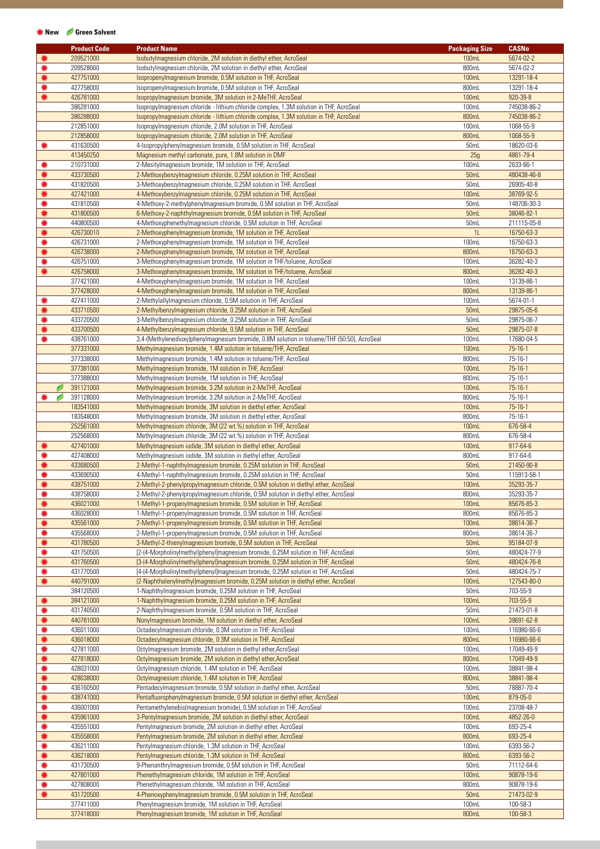## **New Green Solvent**

|   |   | <b>Product Code</b> | <b>Product Name</b>                                                                         | <b>Packaging Size</b> | <b>CASNo</b> |
|---|---|---------------------|---------------------------------------------------------------------------------------------|-----------------------|--------------|
| ☀ |   | 209521000           | Isobutylmagnesium chloride, 2M solution in diethyl ether, AcroSeal                          | 100mL                 | 5674-02-2    |
| * |   | 209528000           | Isobutylmagnesium chloride, 2M solution in diethyl ether, AcroSeal                          | 800mL                 | 5674-02-2    |
| ☀ |   | 427751000           | Isopropenylmagnesium bromide, 0.5M solution in THF, AcroSeal                                | 100mL                 | 13291-18-4   |
|   |   |                     |                                                                                             |                       |              |
| ☀ |   | 427758000           | Isopropenylmagnesium bromide, 0.5M solution in THF, AcroSeal                                | 800mL                 | 13291-18-4   |
| ☀ |   | 426781000           | Isopropylmagnesium bromide, 3M solution in 2-MeTHF, AcroSeal                                | 100mL                 | 920-39-8     |
|   |   | 386281000           | Isopropylmagnesium chloride - lithium chloride complex, 1.3M solution in THF, AcroSeal      | 100mL                 | 745038-86-2  |
|   |   | 386288000           | Isopropylmagnesium chloride - lithium chloride complex, 1.3M solution in THF, AcroSeal      | 800mL                 | 745038-86-2  |
|   |   | 212851000           | Isopropylmagnesium chloride, 2.0M solution in THF, AcroSeal                                 | 100mL                 | 1068-55-9    |
|   |   | 212858000           | Isopropylmagnesium chloride, 2.0M solution in THF, AcroSeal                                 | 800mL                 | 1068-55-9    |
| ☀ |   | 431630500           | 4-Isopropylphenylmagnesium bromide, 0.5M solution in THF, AcroSeal                          | 50mL                  | 18620-03-6   |
|   |   | 413450250           | Magnesium methyl carbonate, pure, 1.8M solution in DMF                                      | 25g                   | 4861-79-4    |
| ☀ |   | 210731000           | 2-Mesitylmagnesium bromide, 1M solution in THF, AcroSeal                                    | 100mL                 | 2633-66-1    |
| ☀ |   | 433730500           | 2-Methoxybenzylmagnesium chloride, 0.25M solution in THF, AcroSeal                          | 50mL                  | 480438-46-8  |
| ☀ |   | 431820500           | 3-Methoxybenzylmagnesium chloride, 0.25M solution in THF, AcroSeal                          | 50mL                  | 26905-40-8   |
|   |   |                     |                                                                                             |                       |              |
| ☀ |   | 427421000           | 4-Methoxybenzylmagnesium chloride, 0.25M solution in THF, AcroSeal                          | 100mL                 | 38769-92-5   |
| ☀ |   | 431810500           | 4-Methoxy-2-methylphenylmagnesium bromide, 0.5M solution in THF, AcroSeal                   | 50mL                  | 148706-30-3  |
| ☀ |   | 431800500           | 6-Methoxy-2-naphthylmagnesium bromide, 0.5M solution in THF, AcroSeal                       | 50mL                  | 38046-82-1   |
| ☀ |   | 440800500           | 4-Methoxyphenethylmagnesium chloride, 0.5M solution in THF, AcroSeal                        | 50mL                  | 211115-05-8  |
| ☀ |   | 426730010           | 2-Methoxyphenylmagnesium bromide, 1M solution in THF, AcroSeal                              | 1 <sub>L</sub>        | 16750-63-3   |
| ☀ |   | 426731000           | 2-Methoxyphenylmagnesium bromide, 1M solution in THF, AcroSeal                              | 100mL                 | 16750-63-3   |
| ☀ |   | 426738000           | 2-Methoxyphenylmagnesium bromide, 1M solution in THF, AcroSeal                              | 800mL                 | 16750-63-3   |
| ☀ |   | 426751000           | 3-Methoxyphenylmagnesium bromide, 1M solution in THF/toluene, AcroSeal                      | 100mL                 | 36282-40-3   |
| ☀ |   | 426758000           | 3-Methoxyphenylmagnesium bromide, 1M solution in THF/toluene, AcroSeal                      | 800mL                 | 36282-40-3   |
|   |   | 377421000           | 4-Methoxyphenylmagnesium bromide, 1M solution in THF, AcroSeal                              | 100mL                 | 13139-86-1   |
|   |   | 377428000           | 4-Methoxyphenylmagnesium bromide, 1M solution in THF, AcroSeal                              | 800mL                 | 13139-86-1   |
|   |   |                     |                                                                                             |                       |              |
| ☀ |   | 427411000           | 2-Methylallylmagnesium chloride, 0.5M solution in THF, AcroSeal                             | 100mL                 | 5674-01-1    |
| ☀ |   | 433710500           | 2-Methylbenzylmagnesium chloride, 0.25M solution in THF, AcroSeal                           | 50mL                  | 29875-05-6   |
| ☀ |   | 433720500           | 3-Methylbenzylmagnesium chloride, 0.25M solution in THF, AcroSeal                           | 50mL                  | 29875-06-7   |
|   |   | 433700500           | 4-Methylbenzylmagnesium chloride, 0.5M solution in THF, AcroSeal                            | 50mL                  | 29875-07-8   |
| ☀ |   | 438761000           | 3,4-(Methylenedioxy)phenylmagnesium bromide, 0.8M solution in toluene/THF (50:50), AcroSeal | 100mL                 | 17680-04-5   |
|   |   | 377331000           | Methylmagnesium bromide, 1.4M solution in toluene/THF, AcroSeal                             | 100mL                 | $75-16-1$    |
|   |   | 377338000           | Methylmagnesium bromide, 1.4M solution in toluene/THF, AcroSeal                             | 800mL                 | 75-16-1      |
|   |   | 377381000           | Methylmagnesium bromide, 1M solution in THF, AcroSeal                                       | 100mL                 | $75-16-1$    |
|   |   | 377388000           | Methylmagnesium bromide, 1M solution in THF, AcroSeal                                       | 800mL                 | 75-16-1      |
|   | Ø | 391121000           | Methylmagnesium bromide, 3.2M solution in 2-MeTHF, AcroSeal                                 | 100mL                 | $75-16-1$    |
|   |   | 391128000           |                                                                                             |                       |              |
| ☀ | Ø |                     | Methylmagnesium bromide, 3.2M solution in 2-MeTHF, AcroSeal                                 | 800mL                 | 75-16-1      |
|   |   | 183541000           | Methylmagnesium bromide, 3M solution in diethyl ether, AcroSeal                             | 100mL                 | $75-16-1$    |
|   |   | 183548000           | Methylmagnesium bromide, 3M solution in diethyl ether, AcroSeal                             | 800mL                 | 75-16-1      |
|   |   | 252561000           | Methylmagnesium chloride, 3M (22 wt.%) solution in THF, AcroSeal                            | 100mL                 | 676-58-4     |
|   |   | 252568000           | Methylmagnesium chloride, 3M (22 wt.%) solution in THF, AcroSeal                            | 800mL                 | 676-58-4     |
| ☀ |   | 427401000           | Methylmagnesium iodide, 3M solution in diethyl ether, AcroSeal                              | 100mL                 | 917-64-6     |
| ☀ |   | 427408000           | Methylmagnesium iodide, 3M solution in diethyl ether, AcroSeal                              | 800mL                 | 917-64-6     |
| ☀ |   | 433680500           | 2-Methyl-1-naphthylmagnesium bromide, 0.25M solution in THF, AcroSeal                       | 50mL                  | 21450-90-8   |
| ☀ |   | 433690500           | 4-Methyl-1-naphthylmagnesium bromide, 0.25M solution in THF, AcroSeal                       | 50mL                  | 115913-58-1  |
| ☀ |   | 438751000           | 2-Methyl-2-phenylpropylmagnesium chloride, 0.5M solution in diethyl ether, AcroSeal         | <b>100mL</b>          | 35293-35-7   |
|   |   | 438758000           | 2-Methyl-2-phenylpropylmagnesium chloride, 0.5M solution in diethyl ether, AcroSeal         | 800mL                 | 35293-35-7   |
| ☀ |   | 436021000           | 1-Methyl-1-propenylmagnesium bromide, 0.5M solution in THF, AcroSeal                        | 100mL                 | 85676-85-3   |
|   |   | 436028000           | 1-Methyl-1-propenylmagnesium bromide, 0.5M solution in THF, AcroSeal                        |                       |              |
| ☀ |   |                     |                                                                                             | 800mL                 | 85676-85-3   |
| ☀ |   | 435561000           | 2-Methyl-1-propenylmagnesium bromide, 0.5M solution in THF, AcroSeal                        | 100mL                 | 38614-36-7   |
| ☀ |   | 435568000           | 2-Methyl-1-propenylmagnesium bromide, 0.5M solution in THF, AcroSeal                        | 800mL                 | 38614-36-7   |
| ☀ |   | 431780500           | 3-Methyl-2-thienylmagnesium bromide, 0.5M solution in THF, AcroSeal                         | 50mL                  | 95184-07-9   |
| ☀ |   | 431750500           | [2-(4-MorpholinyImethyI)phenyI]magnesium bromide, 0.25M solution in THF, AcroSeal           | 50mL                  | 480424-77-9  |
| ☀ |   | 431760500           | [3-(4-MorpholinyImethyI)phenyI]magnesium bromide, 0.25M solution in THF, AcroSeal           | 50 <sub>mL</sub>      | 480424-76-8  |
| ☀ |   | 431770500           | [4-(4-Morpholinylmethyl)phenyl]magnesium bromide, 0.25M solution in THF, AcroSeal           | 50mL                  | 480424-75-7  |
| ☀ |   | 440791000           | (2-Naphthalenylmethyl)magnesium bromide, 0.25M solution in diethyl ether, AcroSeal          | 100mL                 | 127543-80-0  |
|   |   | 384120500           | 1-Naphthylmagnesium bromide, 0.25M solution in THF, AcroSeal                                | 50mL                  | 703-55-9     |
| ☀ |   | 384121000           | 1-Naphthylmagnesium bromide, 0.25M solution in THF, AcroSeal                                | 100mL                 | 703-55-9     |
| ☀ |   | 431740500           | 2-Naphthylmagnesium bromide, 0.5M solution in THF, AcroSeal                                 | 50mL                  | 21473-01-8   |
| ☀ |   | 440781000           | Nonylmagnesium bromide, 1M solution in diethyl ether, AcroSeal                              | 100mL                 | 39691-62-8   |
|   |   |                     |                                                                                             |                       |              |
| ☀ |   | 436011000           | Octadecylmagnesium chloride, 0.3M solution in THF, AcroSeal                                 | 100mL                 | 116980-66-6  |
| ☀ |   | 436018000           | Octadecylmagnesium chloride, 0.3M solution in THF, AcroSeal                                 | 800mL                 | 116980-66-6  |
| ☀ |   | 427811000           | Octylmagnesium bromide, 2M solution in diethyl ether, AcroSeal                              | 100mL                 | 17049-49-9   |
| ☀ |   | 427818000           | Octylmagnesium bromide, 2M solution in diethyl ether, AcroSeal                              | 800mL                 | 17049-49-9   |
| ☀ |   | 428031000           | Octylmagnesium chloride, 1.4M solution in THF, AcroSeal                                     | 100mL                 | 38841-98-4   |
| ☀ |   | 428038000           | Octylmagnesium chloride, 1.4M solution in THF, AcroSeal                                     | 800mL                 | 38841-98-4   |
| ☀ |   | 436160500           | Pentadecylmagnesium bromide, 0.5M solution in diethyl ether, AcroSeal                       | 50mL                  | 78887-70-4   |
| ☀ |   | 438741000           | Pentafluorophenylmagnesium bromide, 0.5M solution in diethyl ether, AcroSeal                | 100mL                 | 879-05-0     |
| ☀ |   | 436001000           | Pentamethylenebis(magnesium bromide), 0.5M solution in THF, AcroSeal                        | 100mL                 | 23708-48-7   |
| ☀ |   | 435961000           | 3-Pentylmagnesium bromide, 2M solution in diethyl ether, AcroSeal                           | 100mL                 | 4852-26-0    |
| ☀ |   | 435551000           | Pentylmagnesium bromide, 2M solution in diethyl ether, AcroSeal                             | 100mL                 | 693-25-4     |
| ☀ |   | 435558000           | Pentylmagnesium bromide, 2M solution in diethyl ether, AcroSeal                             | 800mL                 | 693-25-4     |
|   |   |                     |                                                                                             |                       |              |
| ☀ |   | 436211000           | Pentylmagnesium chloride, 1.3M solution in THF, AcroSeal                                    | 100mL                 | 6393-56-2    |
| ☀ |   | 436218000           | Pentylmagnesium chloride, 1.3M solution in THF, AcroSeal                                    | 800mL                 | 6393-56-2    |
| ☀ |   | 431730500           | 9-Phenanthrylmagnesium bromide, 0.5M solution in THF, AcroSeal                              | 50mL                  | 71112-64-6   |
|   |   | 427801000           | Phenethylmagnesium chloride, 1M solution in THF, AcroSeal                                   | 100mL                 | 90878-19-6   |
|   |   | 427808000           | Phenethylmagnesium chloride, 1M solution in THF, AcroSeal                                   | 800mL                 | 90878-19-6   |
|   |   | 431720500           | 4-Phenoxyphenylmagnesium bromide, 0.5M solution in THF, AcroSeal                            | 50 <sub>mL</sub>      | 21473-02-9   |

377411000 Phenylmagnesium bromide, 1M solution in THF, AcroSeal 100mL 100-58-3 (100-58-3 100mL 100-58-3 100-58 Phenylmagnesium bromide, 1M solution in THF, AcroSeal 800mL 100-58-3